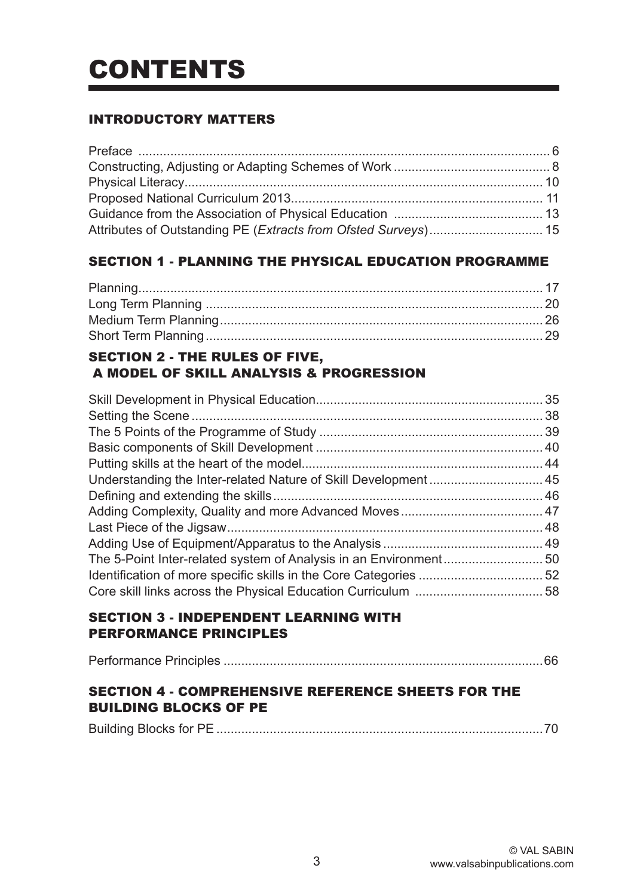# CONTENTS

# INTRODUCTORY MATTERS

# SECTION 1 - PLANNING THE PHYSICAL EDUCATION PROGRAMME

# SECTION 2 - THE RULES OF FIVE, A MODEL OF SKILL ANALYSIS & PROGRESSION

# SECTION 3 - INDEPENDENT LEARNING WITH PERFORMANCE PRINCIPLES

|--|--|

# SECTION 4 - COMPREHENSIVE REFERENCE SHEETS FOR THE BUILDING BLOCKS OF PE

|--|--|--|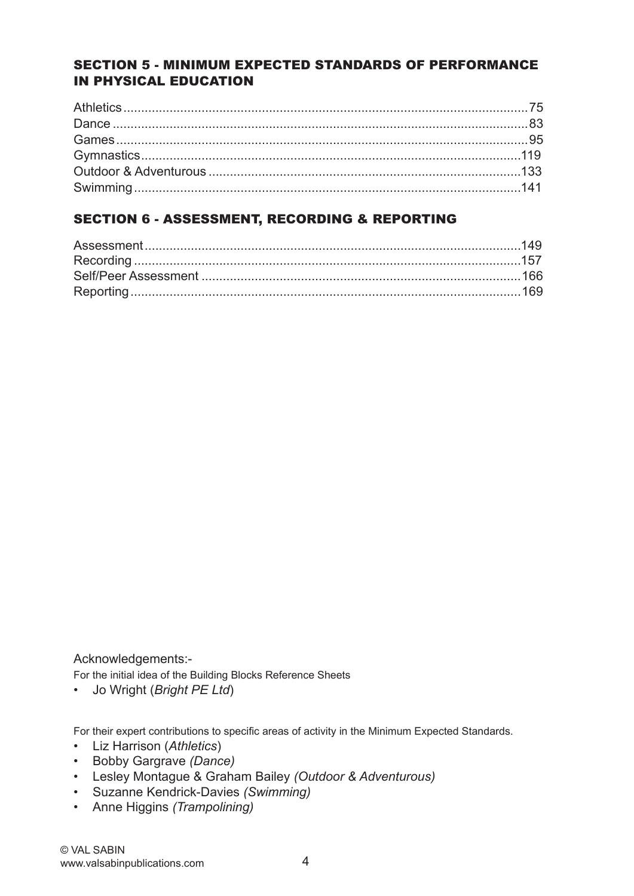# SECTION 5 - MINIMUM EXPECTED STANDARDS OF PERFORMANCE IN PHYSICAL EDUCATION

# SECTION 6 - ASSESSMENT, RECORDING & REPORTING

Acknowledgements:-

For the initial idea of the Building Blocks Reference Sheets

• Jo Wright (*Bright PE Ltd*)

For their expert contributions to specific areas of activity in the Minimum Expected Standards.

- Liz Harrison (*Athletics*)
- Bobby Gargrave *(Dance)*
- Lesley Montague & Graham Bailey *(Outdoor & Adventurous)*
- Suzanne Kendrick-Davies *(Swimming)*
- Anne Higgins *(Trampolining)*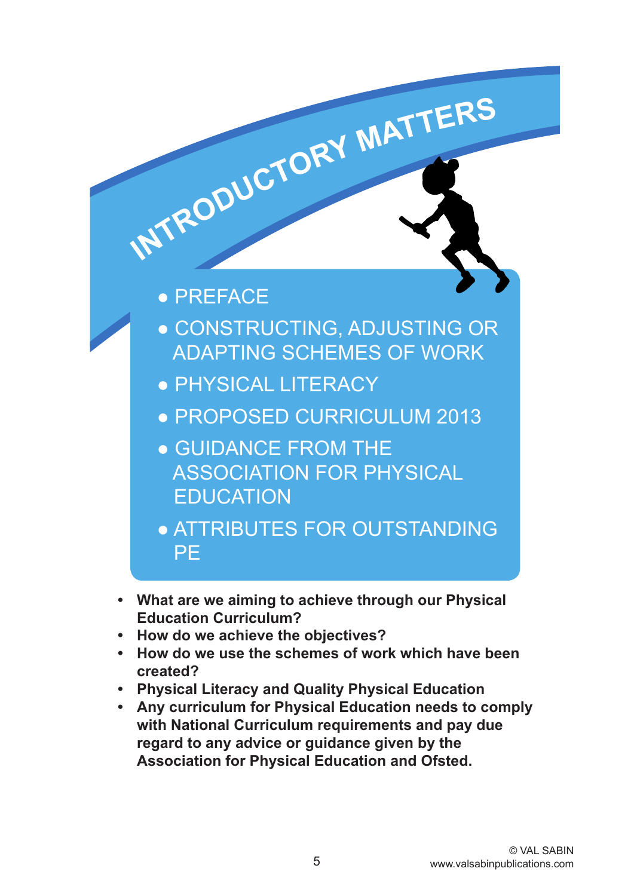

- **• What are we aiming to achieve through our Physical Education Curriculum?**
- **• How do we achieve the objectives?**
- **How do we use the schemes of work which have been created?**
- **• Physical Literacy and Quality Physical Education**
- **• Any curriculum for Physical Education needs to comply with National Curriculum requirements and pay due regard to any advice or guidance given by the Association for Physical Education and Ofsted.**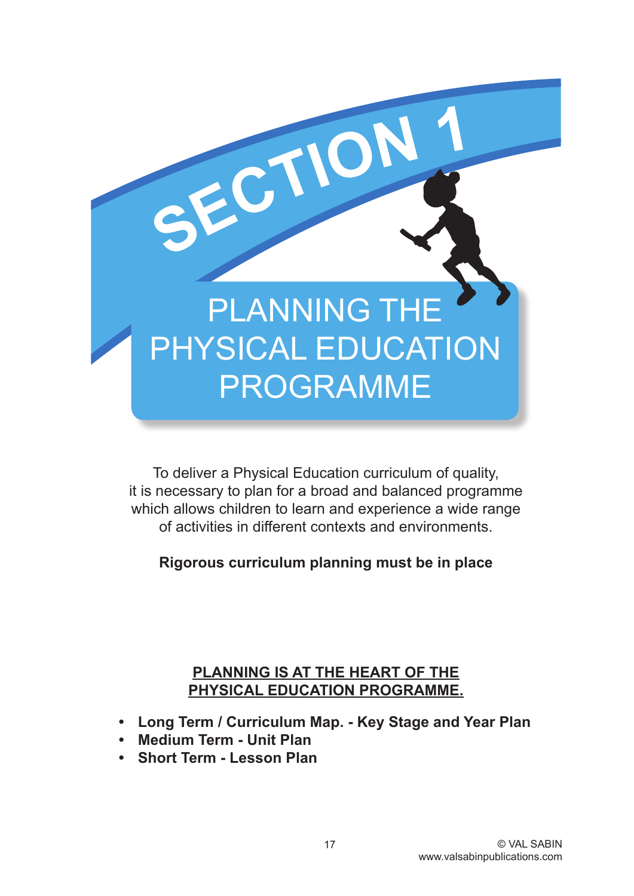

To deliver a Physical Education curriculum of quality, it is necessary to plan for a broad and balanced programme which allows children to learn and experience a wide range of activities in different contexts and environments.

**Rigorous curriculum planning must be in place**

# **PLANNING IS AT THE HEART OF THE PHYSICAL EDUCATION PROGRAMME.**

- **Long Term / Curriculum Map. Key Stage and Year Plan**
- **• Medium Term Unit Plan**
- **Short Term Lesson Plan**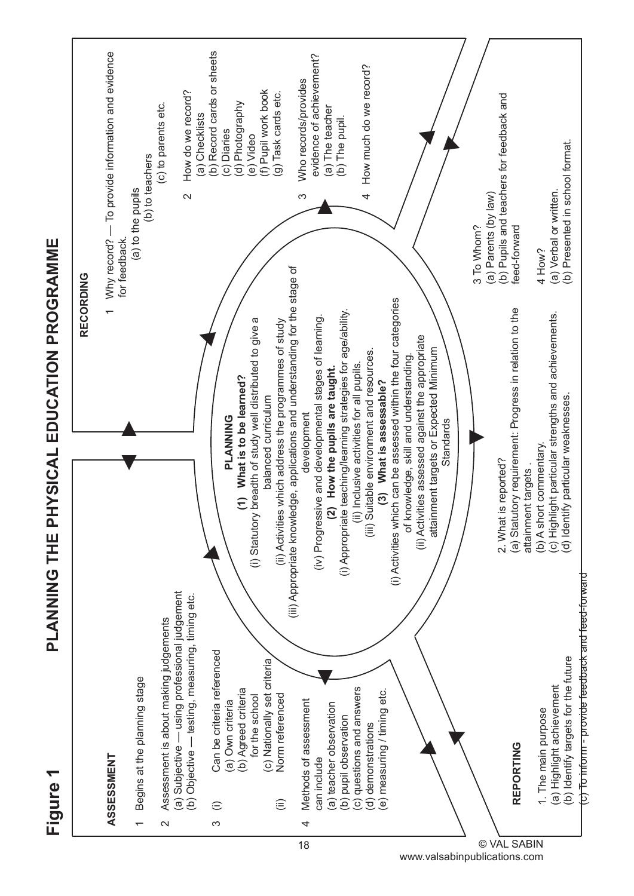**Figure 1**

# PLANNING THE PHYSICAL EDUCATION PROGRAMME **PLANNING THE PHYSICAL EDUCATION PROGRAMME**



www.valsabinpublications.com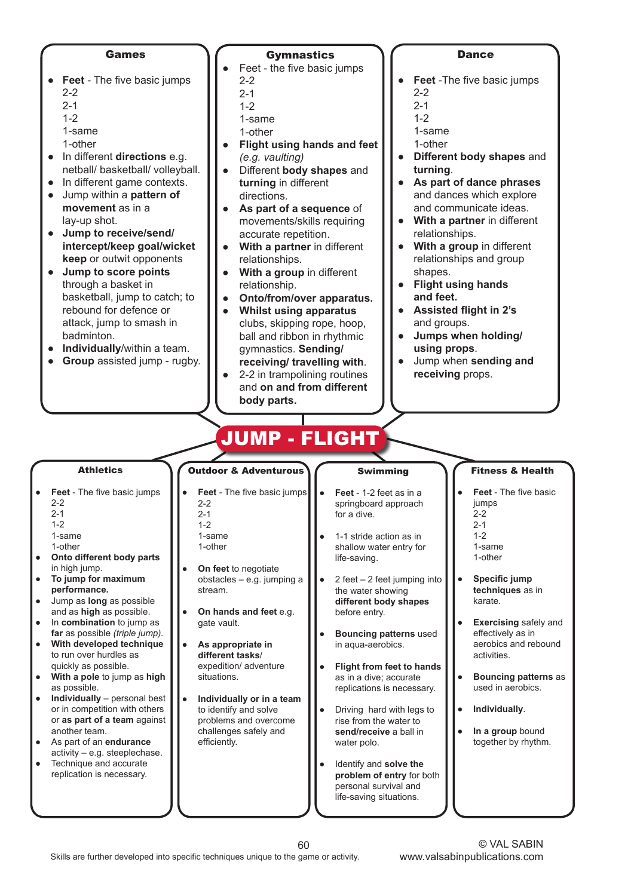#### **Games**

- **Feet** The five basic jumps
	- $2 2$
	- $2 1$
	- 1-2
	- 1-same
	- 1-other
- In different **directions** e.g. netball/ basketball/ volleyball.
- In different game contexts. ● Jump within a **pattern of movement** as in a
- lay-up shot.
- **Jump to receive/send/ intercept/keep goal/wicket keep** or outwit opponents
- **Jump to score points** through a basket in basketball, jump to catch; to rebound for defence or attack, jump to smash in badminton.
- **Individually**/within a team.
- **Group** assisted jump rugby.

#### **Gymnastics**

- Feet the five basic jumps 2-2
	- $2 1$
	- 1-2
- 1-same
- 1-other
- **Flight using hands and feet** *(e.g. vaulting)*
- Different **body shapes** and **turning** in different directions.
- **As part of a sequence** of movements/skills requiring accurate repetition.
- **With a partner** in different relationships.
- **With a group** in different relationship.
- **Onto/from/over apparatus.**
- **Whilst using apparatus** clubs, skipping rope, hoop, ball and ribbon in rhythmic gymnastics. **Sending/ receiving/ travelling with**.
- 2-2 in trampolining routines and **on and from different body parts.**

#### **Dance**

- **Feet** -The five basic jumps  $2 - 2$
- $2 1$
- 1-2
- 1-same
- 1-other
- **Different body shapes** and **turning**.
- **As part of dance phrases** and dances which explore and communicate ideas.
- **With a partner** in different relationships.
- **With a group** in different relationships and group shapes.
- **Flight using hands and feet.**
- **Assisted flight in 2's** and groups.
- **Jumps when holding/ using props**.
- Jump when **sending and receiving** props.

# JUMP - FLIGHT

Athletics

- **Feet** The five basic jumps 2-2
	- 2-1
	- 1-2
	- 1-same
- 1-other **Onto different body parts**
- in high jump. ● **To jump for maximum**
- **performance.** ● Jump as **long** as possible and as **high** as possible.
- In **combination** to jump as **far** as possible *(triple jump).*
- **With developed technique** to run over hurdles as quickly as possible.
- **With a pole** to jump as **high** as possible.
- **Individually** personal best or in competition with others or **as part of a team** against another team.
- As part of an **endurance** activity – e.g. steeplechase.
- Technique and accurate replication is necessary.

**Feet** - The five basic jumps 2-2 2-1  $1 - 2$ 1-same

Outdoor & Adventurous

- 1-other
- **On feet** to negotiate obstacles – e.g. jumping a stream.
- **On hands and feet e.g.** gate vault.
- As appropriate in **different tasks**/ expedition/ adventure situations.
- **Individually or in a team** to identify and solve problems and overcome challenges safely and efficiently.

# Swimming

- **Feet** 1-2 feet as in a springboard approach for a dive.
- 1-1 stride action as in shallow water entry for life-saving.
- $\bullet$  2 feet 2 feet jumping into the water showing **different body shapes** before entry.
- **Bouncing patterns** used in aqua-aerobics.
- **Flight from feet to hands** as in a dive; accurate replications is necessary.
- Driving hard with legs to rise from the water to **send/receive** a ball in water polo.
- **Identify and solve the problem of entry** for both personal survival and life-saving situations.

#### Fitness & Health

- **Feet** The five basic jumps 2-2  $2 - 1$  $1 - 2$ 1-same 1-other
- **Specific jump techniques** as in karate.
- **Exercising** safely and effectively as in aerobics and rebound activities.
- **Bouncing patterns** as used in aerobics.
- **Individually**.
- **In a group** bound together by rhythm.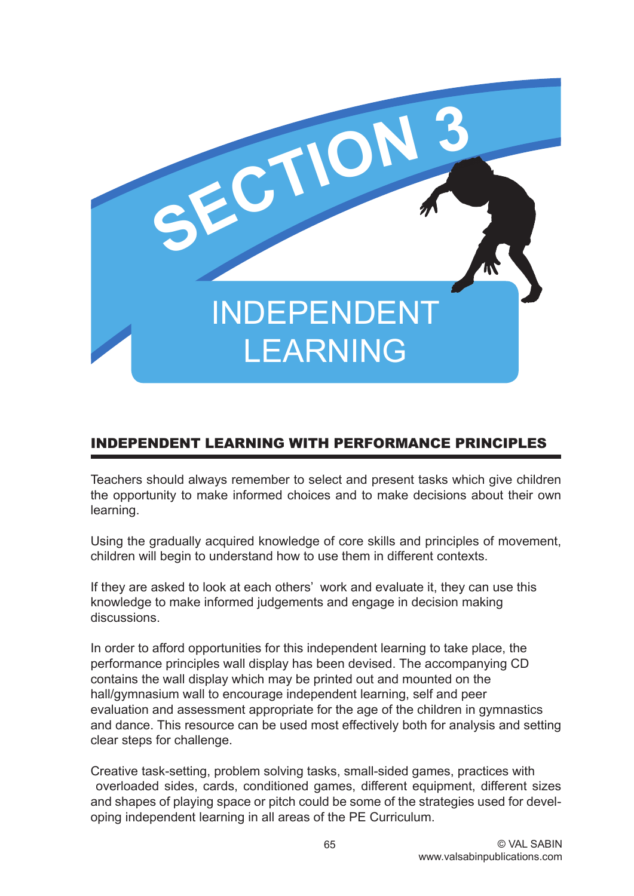

# INDEPENDENT LEARNING WITH PERFORMANCE PRINCIPLES

Teachers should always remember to select and present tasks which give children the opportunity to make informed choices and to make decisions about their own learning.

Using the gradually acquired knowledge of core skills and principles of movement, children will begin to understand how to use them in different contexts.

If they are asked to look at each others' work and evaluate it, they can use this knowledge to make informed judgements and engage in decision making discussions.

In order to afford opportunities for this independent learning to take place, the performance principles wall display has been devised. The accompanying CD contains the wall display which may be printed out and mounted on the hall/gymnasium wall to encourage independent learning, self and peer evaluation and assessment appropriate for the age of the children in gymnastics and dance. This resource can be used most effectively both for analysis and setting clear steps for challenge.

Creative task-setting, problem solving tasks, small-sided games, practices with overloaded sides, cards, conditioned games, different equipment, different sizes and shapes of playing space or pitch could be some of the strategies used for developing independent learning in all areas of the PE Curriculum.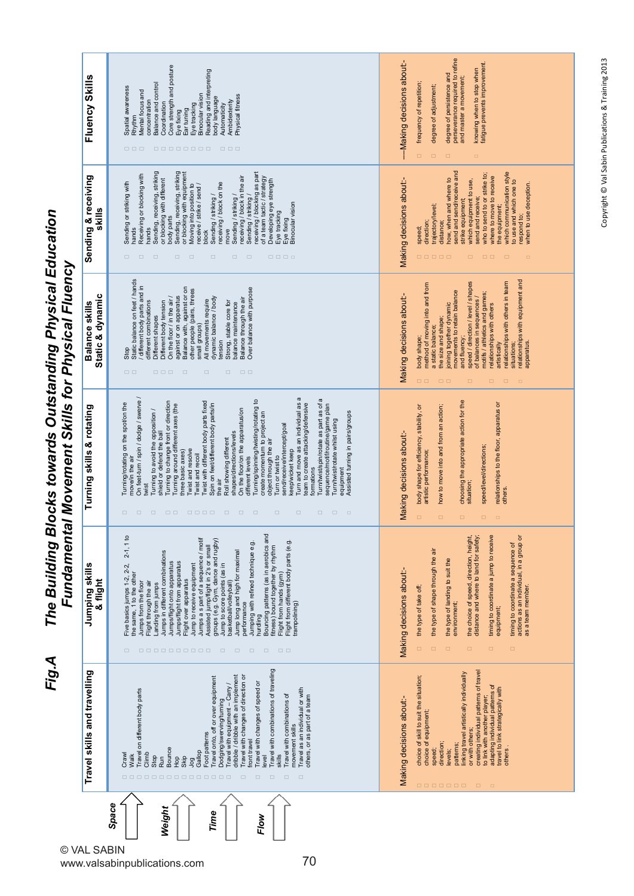The Building Blocks towards Outstanding Physical Education<br>Fundamental Movement Skills for Physical Fluency *Fig.A The Building Blocks towards Outstanding Physical Education Fundamental Movement Skills for Physical Fluency*

Fig.A

| Fluency Skills                     | Core strength and posture<br>Reading and interpreting<br>Balance and control<br>Spatial awareness<br>Mental focus and<br>Binocular vision<br>Physical fitness<br>body language<br>concentration<br>Ambidexterity<br>Coordination<br>Eye tracking<br>Automaticity<br>Ear tuning<br>Eye fixing<br>Rhythm<br>$\Box \quad \Box \quad \Box$<br>00000000<br>$\Box$ $\Box$                                                                                                                                                                                                                                                                                                                                                                                                                                                                                                                                                                                                                                                                                                                                              | perseverance required to refine<br>and master a movement;<br>-Making decisions about:-<br>fatigue prevents improvement<br>knowing when to stop when<br>degree of persistence and<br>frequency of repetition;<br>degree of adjustment;<br>$\Box$<br>$\Box$<br>$\Box$<br>$\Box$                                                                                                                                                                                                                                                     |
|------------------------------------|------------------------------------------------------------------------------------------------------------------------------------------------------------------------------------------------------------------------------------------------------------------------------------------------------------------------------------------------------------------------------------------------------------------------------------------------------------------------------------------------------------------------------------------------------------------------------------------------------------------------------------------------------------------------------------------------------------------------------------------------------------------------------------------------------------------------------------------------------------------------------------------------------------------------------------------------------------------------------------------------------------------------------------------------------------------------------------------------------------------|-----------------------------------------------------------------------------------------------------------------------------------------------------------------------------------------------------------------------------------------------------------------------------------------------------------------------------------------------------------------------------------------------------------------------------------------------------------------------------------------------------------------------------------|
| Sending & receiving<br>skills      | Sending, receiving, striking<br>Sending, receiving, striking<br>or blocking with equipment<br>receiving / blocking as part<br>Receiving or blocking with<br>receiving / block in the air<br>of a team tactic / strategy<br>or blocking with different<br>Developing eye strength<br>Sending or striking with<br>Sending / striking /<br>receiving / block on the<br>Moving into position to<br>receive / strike / send /<br>Sending / striking /<br>Sending / striking /<br>Binocular vision<br>Eye tracking<br>body parts<br>Eye fixing<br>hands<br>hands<br>move<br>block<br>$\Box$<br>$\Box$<br>$\Box$<br>$\Box$<br>$\Box$<br>$\Box$<br>$\Box$<br>$\Box$<br>00000                                                                                                                                                                                                                                                                                                                                                                                                                                             | how, when and where to<br>send and send/receive and<br>which communication style<br>who to send to or strike to;<br>where to move to receive<br>Making decisions about:-<br>which equipment to use,<br>to use and which one to<br>respond to;<br>when to use deception.<br>send and receive;<br>strike equipment;<br>trajectory/level;<br>the equipment;<br>direction;<br>distance;<br>speed;<br>00000<br>$\Box$<br>$\square$ $\square$<br>$\Box$<br>$\Box$                                                                       |
| Static & dynamic<br>Balance skills | Static balance on feet / hands<br>different body parts and in<br>Balance with, against or on<br>Over balance with purpose<br>other people (pairs, threes<br>On the floor / in the air /<br>against or on apparatus<br>dynamic balance / body<br>Balance through the air<br>All movements require<br>different combinations<br>Strong, stable core for<br>Different body tension<br>balance maintenance<br>Different shapes<br>small groups)<br>tension<br>Stop<br>$\Box$ $\Box$<br>$\begin{array}{c} \square \ \square \ \square \end{array}$<br>$\Box$<br>$\Box$<br>$\Box$<br>$\qquad \qquad \Box$                                                                                                                                                                                                                                                                                                                                                                                                                                                                                                              | relationships with equipment and<br>speed / direction / level / shapes<br>relationships with others in team<br>method of moving into and from<br>joining together dynamic<br>movements to retain balance<br>motifs / athletics and games;<br>Making decisions about:-<br>of balances in sequences /<br>relationships with others<br>the size and shape;<br>a static balance<br>body shape;<br>and fluency;<br>apparatus.<br>artistically<br>situations;<br>$\Box$ $\Box$<br>$\Box$<br>$\Box$<br>$\Box$ $\Box$<br>$\Box$<br>$\Box$ |
| Turning skills & rotating          | Turn and move as an individual as a<br>On feet-turn / spin / dodge / swerve /<br>Turn/twist/spin/rotate as part as of a<br>Turning/spinning/twisting/rotating to<br>Twist with different body parts fixed<br>Turning to change front or direction<br>Turning/rotating on the spot/on the<br>Spin on feet/different body parts/in<br>leam to create attacking/defensive<br>Turning around different axes (the<br>sequence/motif/routine/game plan<br>On the floor/on the apparatus/on<br>Turning to avoid the opposition /<br>shield or defend the ball<br>Assisted turning in pairs/groups<br>create momentum to project an<br>Turn/twist/rotate whilst using<br>send/receive/intercept/goal<br>Roll showing different<br>shapes/directions/levels<br>object through the air<br>Twist and resolve<br>keep/wicket keep<br>three basic axes)<br>Twist and recoil<br>Turn or twist to<br>different levels<br>move/in the air<br>formations<br>equipment<br>the air<br>iws<br>$\Box$<br>$\qquad \qquad \Box \qquad \Box$<br>0000 0 0<br>$\Box$<br>$\Box$<br>$\Box$<br>$\Box$<br>$\Box$<br>$\Box$<br>$\Box$<br>$\Box$ | choosing the appropriate action for the<br>relationships to the floor, apparatus or<br>how to move into and from an action;<br>body shape for efficiency, stability, or<br>Making decisions about:-<br>speed/level/directions;<br>artistic performance;<br>situation;<br>others.<br>$\Box$<br>$\qquad \qquad \Box$<br>$\Box$<br>$\Box$<br>$\Box$                                                                                                                                                                                  |
| Jumping skills<br>& flight         | Bouncing patterns (as in aerobics and<br>$2 - 1, 1$ to<br>Jumps a s part of a sequence / motif<br>groups (e.g. Gym, dance and rugby)<br>Flight from different body parts (e.g.<br>Jumping with refined technique e.g.<br>Assisted jump/flight in 2's or small<br>fitness) bound together by rhythm<br>Jumps in different combinations<br>Jump long and high for maximal<br>Jumps/flight onto apparatus<br>Jumps/flight from apparatus<br>Jump to receive equipment<br>Jump to score points (as in<br>-ive basics jumps 1-2, 2-2,<br>the same, 1 to the other<br>Flight from hands (gym)<br>Flight over apparatus<br>Jumps from the floor<br>basketball/volleyball)<br>Flight through the air<br>Landing from jumps<br>trampolining)<br>performance<br>hurdling<br>$\Box$<br>0000000000<br>$\Box$<br>$\Box$<br>$\Box$<br>$\Box$<br>$\Box$ $\Box$                                                                                                                                                                                                                                                                  | timing to coordinate a jump to receive<br>actions as an individual, in a group or<br>the choice of speed, direction, height,<br>distance and where to land for safety;<br>timing to coordinate a sequence of<br>the type of shape through the air<br>the type of landing to suit the<br>Making decisions about:-<br>as a team member.<br>the type of take off;<br>environment;<br>equipment<br>$\Box$<br>$\Box$<br>$\Box$<br>$\Box$<br>$\Box$<br>$\Box$                                                                           |
| Travel skills and travelling       | Travel with combinations of traveling<br>dribble / dribble with an implement<br>Travel with changes of direction or<br>Travel onto, off or over equipment<br>Travel with changes of speed or<br>Travel with equipment - Carry /<br>Travel as an individual or with<br>Travel on different body parts<br>others, or as part of a team<br>Travel with combinations of<br>Dodging/swerving/turning<br>movement skills<br>Foot patterns<br>front travel<br>Bounce<br>Gallop<br>Climb<br>Crawl<br>Walk<br>skills<br>Stop<br>level<br>Skip<br><b>Run</b><br>ФЪ<br>gol<br>00000000000000<br>$\Box$<br>$\Box$<br>$\Box$<br>$\Box$<br>$\Box$                                                                                                                                                                                                                                                                                                                                                                                                                                                                              | creating individual patterns of travel<br>linking travel artistically individually<br>choice of skill to suit the situation;<br>to link with another player;<br>adapting individual patterns of<br>travel to link strategically with<br>Making decisions about:-<br>choice of equipment;<br>or with others;<br>direction;<br>patterns;<br>others.<br>speed;<br>levels;<br>0000000<br>$\Box$<br>$\Box$                                                                                                                             |
| AL SABIN                           | Space<br>Weight<br>Time<br>Flow                                                                                                                                                                                                                                                                                                                                                                                                                                                                                                                                                                                                                                                                                                                                                                                                                                                                                                                                                                                                                                                                                  |                                                                                                                                                                                                                                                                                                                                                                                                                                                                                                                                   |

 $@V$ www.valsabinpublications.com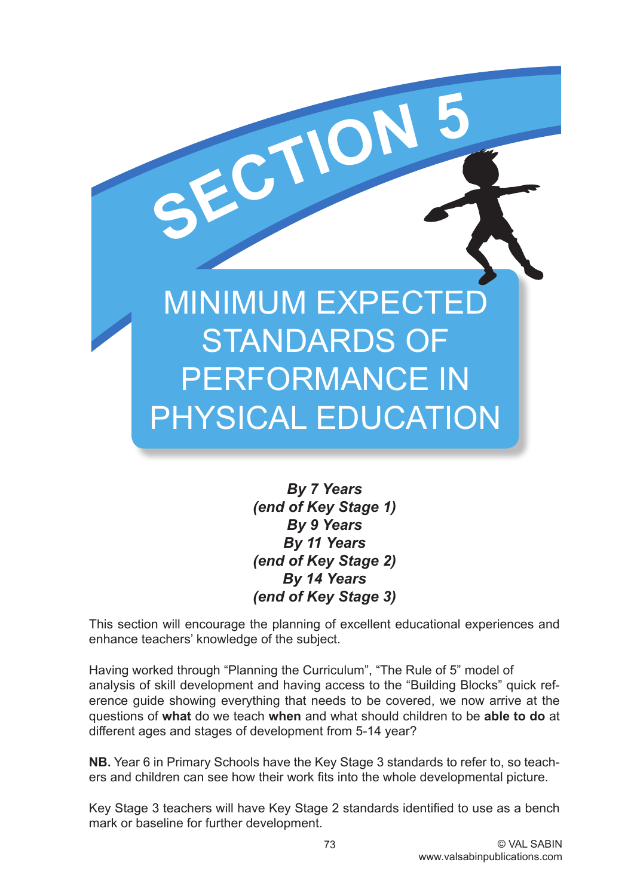# **MINIMUM EXPECTEI** STANDARDS OF PERFORMANCE IN PHYSICAL EDUCATION

**SECTIO<sup>N</sup> <sup>5</sup>**

*By 7 Years (end of Key Stage 1) By 9 Years By 11 Years (end of Key Stage 2) By 14 Years (end of Key Stage 3)*

This section will encourage the planning of excellent educational experiences and enhance teachers' knowledge of the subject.

Having worked through "Planning the Curriculum", "The Rule of 5" model of analysis of skill development and having access to the "Building Blocks" quick reference guide showing everything that needs to be covered, we now arrive at the questions of **what** do we teach **when** and what should children to be **able to do** at different ages and stages of development from 5-14 year?

**NB.** Year 6 in Primary Schools have the Key Stage 3 standards to refer to, so teachers and children can see how their work fits into the whole developmental picture.

Key Stage 3 teachers will have Key Stage 2 standards identified to use as a bench mark or baseline for further development.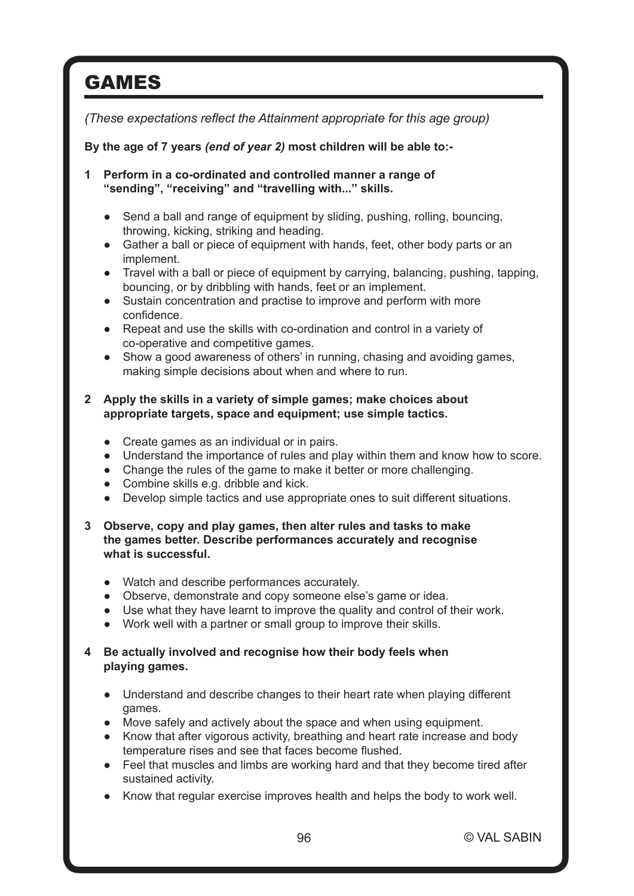# GAMES

*(These expectations reflect the Attainment appropriate for this age group)*

# **By the age of 7 years** *(end of year 2)* **most children will be able to:-**

**1 Perform in a co-ordinated and controlled manner a range of "sending", "receiving" and "travelling with..." skills.**

- Send a ball and range of equipment by sliding, pushing, rolling, bouncing, throwing, kicking, striking and heading.
- Gather a ball or piece of equipment with hands, feet, other body parts or an implement.
- Travel with a ball or piece of equipment by carrying, balancing, pushing, tapping, bouncing, or by dribbling with hands, feet or an implement.
- Sustain concentration and practise to improve and perform with more confidence.
- Repeat and use the skills with co-ordination and control in a variety of co-operative and competitive games.
- Show a good awareness of others' in running, chasing and avoiding games, making simple decisions about when and where to run.

## **2 Apply the skills in a variety of simple games; make choices about appropriate targets, space and equipment; use simple tactics.**

- Create games as an individual or in pairs.
- Understand the importance of rules and play within them and know how to score.
- Change the rules of the game to make it better or more challenging.
- Combine skills e.g. dribble and kick.
- ● Develop simple tactics and use appropriate ones to suit different situations.

## **3 Observe, copy and play games, then alter rules and tasks to make the games better. Describe performances accurately and recognise what is successful.**

- ● Watch and describe performances accurately.
- Observe, demonstrate and copy someone else's game or idea.
- Use what they have learnt to improve the quality and control of their work.
- ● Work well with a partner or small group to improve their skills.

# **4 Be actually involved and recognise how their body feels when playing games.**

- Understand and describe changes to their heart rate when playing different games.
- Move safely and actively about the space and when using equipment.
- Know that after vigorous activity, breathing and heart rate increase and body temperature rises and see that faces become flushed.
- Feel that muscles and limbs are working hard and that they become tired after sustained activity.
- ● Know that regular exercise improves health and helps the body to work well.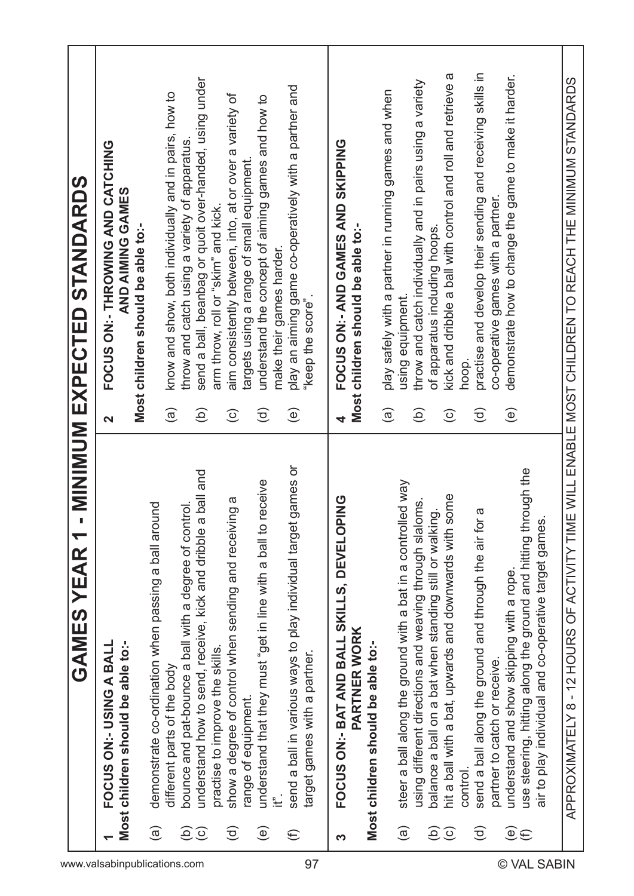| www.valsabinpublications.com |                        | $\blacktriangledown$<br><b>GAMES YEAR</b>                                                            |                         | - MINUM EXPECTED STANDARDS                                   |
|------------------------------|------------------------|------------------------------------------------------------------------------------------------------|-------------------------|--------------------------------------------------------------|
|                              |                        | FOCUS ON:- USING A BALL                                                                              | $\overline{\mathbf{C}}$ | FOCUS ON:- THROWING AND CATCHING                             |
|                              |                        | Most children should be able to:-                                                                    |                         | AND AIMING GAMES<br>Most children should be able to:-        |
|                              | $\widehat{\mathbf{e}}$ | demonstrate co-ordination when passing a ball around                                                 |                         |                                                              |
|                              |                        | different parts of the body                                                                          | $\widehat{a}$           | know and show, both individually and in pairs, how to        |
|                              | ව                      | bounce and pat-bounce a ball with a degree of control.                                               |                         | throw and catch using a variety of apparatus.                |
|                              | $\odot$                | a ball and<br>understand how to send, receive, kick and dribble                                      | $\widehat{\Theta}$      | send a ball, beanbag or quoit over-handed, using under       |
|                              |                        | practise to improve the skills.                                                                      |                         | arm throw, roll or "skim" and kick.                          |
|                              | $\widehat{\mathsf{c}}$ | show a degree of control when sending and receiving a                                                | $\odot$                 | aim consistently between, into, at or over a variety of      |
|                              |                        | range of equipment.                                                                                  |                         | targets using a range of small equipment.                    |
|                              | $\widehat{\mathsf{e}}$ | receive<br>understand that they must "get in line with a ball to                                     | $\widehat{\sigma}$      | understand the concept of aiming games and how to            |
|                              |                        | Ë                                                                                                    |                         | make their games harder.                                     |
|                              | $\widehat{\in}$        | games or<br>send a ball in various ways to play individual target                                    | $\widehat{\mathbf{e}}$  | play an aiming game co-operatively with a partner and        |
| 97                           |                        | target games with a partner.                                                                         |                         | "keep the score".                                            |
|                              |                        |                                                                                                      |                         |                                                              |
|                              | က                      | PING<br>FOCUS ON:- BAT AND BALL SKILLS, DEVELOI                                                      |                         | FOCUS ON: - AND GAMES AND SKIPPING                           |
|                              |                        | <b>PARTNER WORK</b>                                                                                  |                         | Most children should be able to:-                            |
|                              |                        | Most children should be able to:-                                                                    |                         |                                                              |
|                              |                        |                                                                                                      | $\widehat{a}$           | play safely with a partner in running games and when         |
|                              | $\widehat{\mathbf{e}}$ | steer a ball along the ground with a bat in a controlled way                                         |                         | using equipment.                                             |
|                              |                        | using different directions and weaving through slaloms.                                              | $\widehat{e}$           | throw and catch individually and in pairs using a variety    |
|                              |                        | balance a ball on a bat when standing still or walking.                                              |                         | of apparatus including hoops.                                |
|                              | $\widehat{\Theta}$     | some<br>hit a ball with a bat, upwards and downwards with                                            | $\widehat{\circ}$       | kick and dribble a ball with control and roll and retrieve a |
|                              |                        | control.                                                                                             |                         | hoop.                                                        |
|                              | $\widehat{\mathsf{c}}$ | send a ball along the ground and through the air for a                                               | $\widehat{\sigma}$      | practise and develop their sending and receiving skills in   |
| ©                            |                        | partner to catch or receive.                                                                         |                         | co-operative games with a partner.                           |
|                              | $\widehat{\mathbf{e}}$ | understand and show skipping with a rope.                                                            | $\widehat{\mathbb{e}}$  | demonstrate how to change the game to make it harder.        |
|                              | $\widehat{\in}$        | use steering, hitting along the ground and hitting through the                                       |                         |                                                              |
| <b>VAL SABIN</b>             |                        | air to play individual and co-operative target games                                                 |                         |                                                              |
|                              |                        | APPROXIMATELY 8 - 12 HOURS OF ACTIVITY TIME WILL ENABLE MOST CHILDREN TO REACH THE MINIMUM STANDARDS |                         |                                                              |